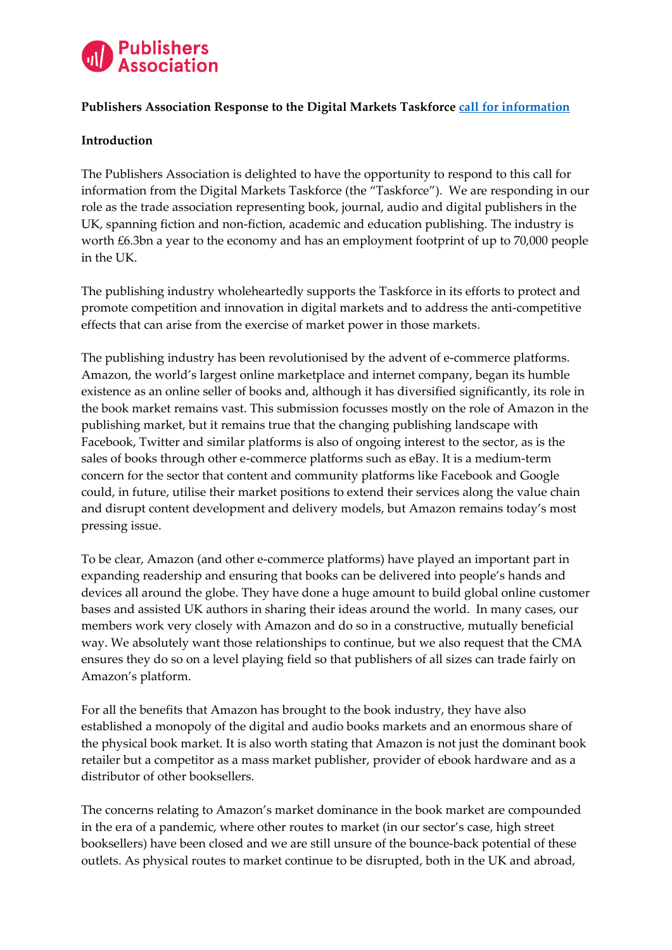

## **Publishers Association Response to the Digital Markets Taskforce [call for information](https://assets.publishing.service.gov.uk/media/5efc5e433a6f4023c77a135c/Call_for_information_July2020.pdf)**

## **Introduction**

The Publishers Association is delighted to have the opportunity to respond to this call for information from the Digital Markets Taskforce (the "Taskforce"). We are responding in our role as the trade association representing book, journal, audio and digital publishers in the UK, spanning fiction and non-fiction, academic and education publishing. The industry is worth £6.3bn a year to the economy and has an employment footprint of up to 70,000 people in the UK.

The publishing industry wholeheartedly supports the Taskforce in its efforts to protect and promote competition and innovation in digital markets and to address the anti-competitive effects that can arise from the exercise of market power in those markets.

The publishing industry has been revolutionised by the advent of e-commerce platforms. Amazon, the world's largest online marketplace and internet company, began its humble existence as an online seller of books and, although it has diversified significantly, its role in the book market remains vast. This submission focusses mostly on the role of Amazon in the publishing market, but it remains true that the changing publishing landscape with Facebook, Twitter and similar platforms is also of ongoing interest to the sector, as is the sales of books through other e-commerce platforms such as eBay. It is a medium-term concern for the sector that content and community platforms like Facebook and Google could, in future, utilise their market positions to extend their services along the value chain and disrupt content development and delivery models, but Amazon remains today's most pressing issue.

To be clear, Amazon (and other e-commerce platforms) have played an important part in expanding readership and ensuring that books can be delivered into people's hands and devices all around the globe. They have done a huge amount to build global online customer bases and assisted UK authors in sharing their ideas around the world. In many cases, our members work very closely with Amazon and do so in a constructive, mutually beneficial way. We absolutely want those relationships to continue, but we also request that the CMA ensures they do so on a level playing field so that publishers of all sizes can trade fairly on Amazon's platform.

For all the benefits that Amazon has brought to the book industry, they have also established a monopoly of the digital and audio books markets and an enormous share of the physical book market. It is also worth stating that Amazon is not just the dominant book retailer but a competitor as a mass market publisher, provider of ebook hardware and as a distributor of other booksellers.

The concerns relating to Amazon's market dominance in the book market are compounded in the era of a pandemic, where other routes to market (in our sector's case, high street booksellers) have been closed and we are still unsure of the bounce-back potential of these outlets. As physical routes to market continue to be disrupted, both in the UK and abroad,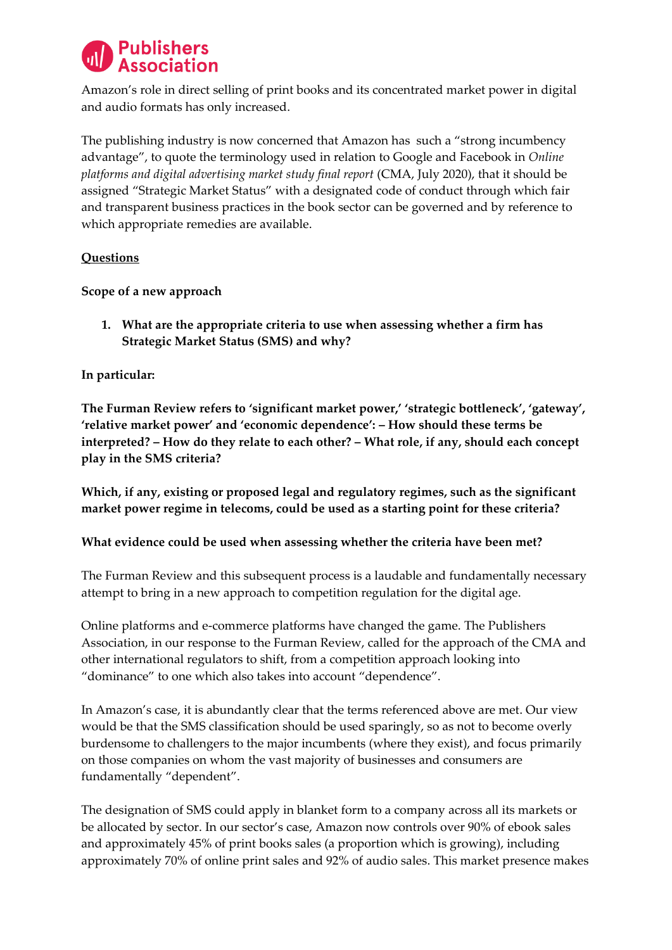

Amazon's role in direct selling of print books and its concentrated market power in digital and audio formats has only increased.

The publishing industry is now concerned that Amazon has such a "strong incumbency advantage", to quote the terminology used in relation to Google and Facebook in *Online platforms and digital advertising market study final report* (CMA, July 2020), that it should be assigned "Strategic Market Status" with a designated code of conduct through which fair and transparent business practices in the book sector can be governed and by reference to which appropriate remedies are available.

## **Questions**

**Scope of a new approach** 

**1. What are the appropriate criteria to use when assessing whether a firm has Strategic Market Status (SMS) and why?** 

## **In particular:**

**The Furman Review refers to 'significant market power,' 'strategic bottleneck', 'gateway', 'relative market power' and 'economic dependence': – How should these terms be interpreted? – How do they relate to each other? – What role, if any, should each concept play in the SMS criteria?** 

**Which, if any, existing or proposed legal and regulatory regimes, such as the significant market power regime in telecoms, could be used as a starting point for these criteria?**

#### **What evidence could be used when assessing whether the criteria have been met?**

The Furman Review and this subsequent process is a laudable and fundamentally necessary attempt to bring in a new approach to competition regulation for the digital age.

Online platforms and e-commerce platforms have changed the game. The Publishers Association, in our response to the Furman Review, called for the approach of the CMA and other international regulators to shift, from a competition approach looking into "dominance" to one which also takes into account "dependence".

In Amazon's case, it is abundantly clear that the terms referenced above are met. Our view would be that the SMS classification should be used sparingly, so as not to become overly burdensome to challengers to the major incumbents (where they exist), and focus primarily on those companies on whom the vast majority of businesses and consumers are fundamentally "dependent".

The designation of SMS could apply in blanket form to a company across all its markets or be allocated by sector. In our sector's case, Amazon now controls over 90% of ebook sales and approximately 45% of print books sales (a proportion which is growing), including approximately 70% of online print sales and 92% of audio sales. This market presence makes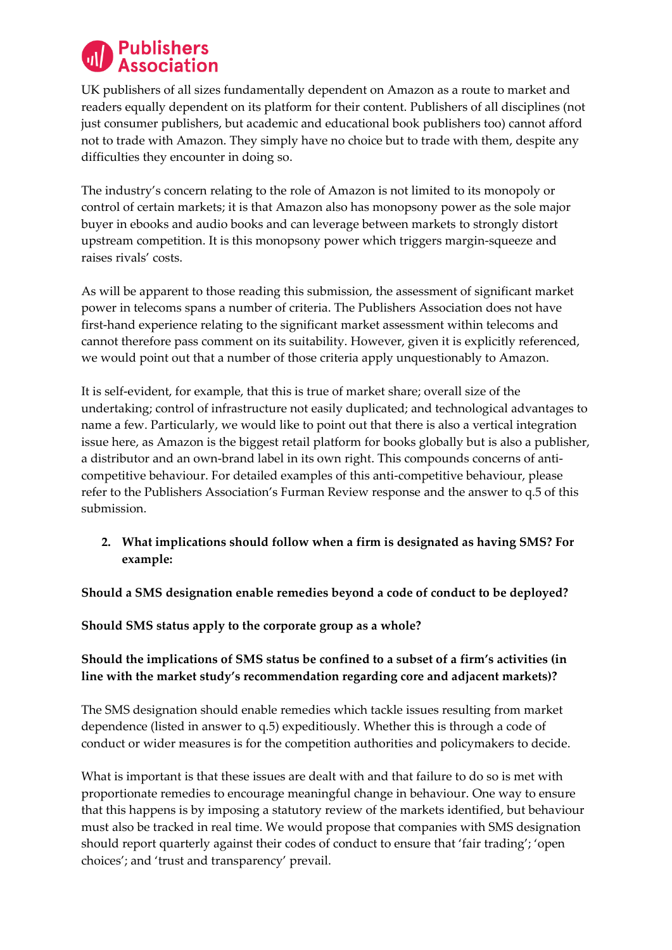

UK publishers of all sizes fundamentally dependent on Amazon as a route to market and readers equally dependent on its platform for their content. Publishers of all disciplines (not just consumer publishers, but academic and educational book publishers too) cannot afford not to trade with Amazon. They simply have no choice but to trade with them, despite any difficulties they encounter in doing so.

The industry's concern relating to the role of Amazon is not limited to its monopoly or control of certain markets; it is that Amazon also has monopsony power as the sole major buyer in ebooks and audio books and can leverage between markets to strongly distort upstream competition. It is this monopsony power which triggers margin-squeeze and raises rivals' costs.

As will be apparent to those reading this submission, the assessment of significant market power in telecoms spans a number of criteria. The Publishers Association does not have first-hand experience relating to the significant market assessment within telecoms and cannot therefore pass comment on its suitability. However, given it is explicitly referenced, we would point out that a number of those criteria apply unquestionably to Amazon.

It is self-evident, for example, that this is true of market share; overall size of the undertaking; control of infrastructure not easily duplicated; and technological advantages to name a few. Particularly, we would like to point out that there is also a vertical integration issue here, as Amazon is the biggest retail platform for books globally but is also a publisher, a distributor and an own-brand label in its own right. This compounds concerns of anticompetitive behaviour. For detailed examples of this anti-competitive behaviour, please refer to the Publishers Association's Furman Review response and the answer to q.5 of this submission.

**2. What implications should follow when a firm is designated as having SMS? For example:** 

## **Should a SMS designation enable remedies beyond a code of conduct to be deployed?**

**Should SMS status apply to the corporate group as a whole?** 

# **Should the implications of SMS status be confined to a subset of a firm's activities (in line with the market study's recommendation regarding core and adjacent markets)?**

The SMS designation should enable remedies which tackle issues resulting from market dependence (listed in answer to q.5) expeditiously. Whether this is through a code of conduct or wider measures is for the competition authorities and policymakers to decide.

What is important is that these issues are dealt with and that failure to do so is met with proportionate remedies to encourage meaningful change in behaviour. One way to ensure that this happens is by imposing a statutory review of the markets identified, but behaviour must also be tracked in real time. We would propose that companies with SMS designation should report quarterly against their codes of conduct to ensure that 'fair trading'; 'open choices'; and 'trust and transparency' prevail.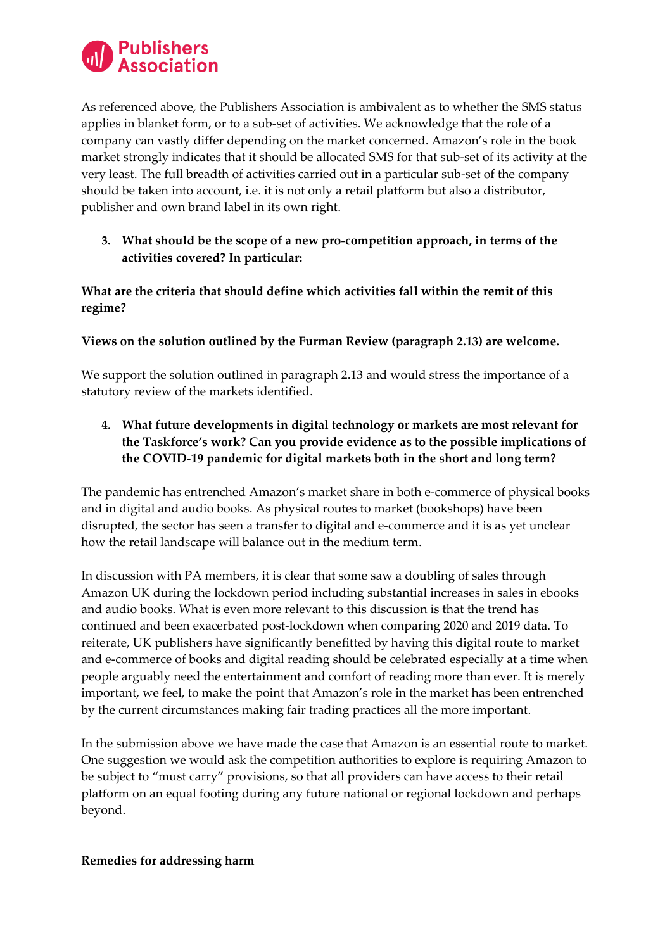

As referenced above, the Publishers Association is ambivalent as to whether the SMS status applies in blanket form, or to a sub-set of activities. We acknowledge that the role of a company can vastly differ depending on the market concerned. Amazon's role in the book market strongly indicates that it should be allocated SMS for that sub-set of its activity at the very least. The full breadth of activities carried out in a particular sub-set of the company should be taken into account, i.e. it is not only a retail platform but also a distributor, publisher and own brand label in its own right.

**3. What should be the scope of a new pro-competition approach, in terms of the activities covered? In particular:**

**What are the criteria that should define which activities fall within the remit of this regime?**

## **Views on the solution outlined by the Furman Review (paragraph 2.13) are welcome.**

We support the solution outlined in paragraph 2.13 and would stress the importance of a statutory review of the markets identified.

**4. What future developments in digital technology or markets are most relevant for the Taskforce's work? Can you provide evidence as to the possible implications of the COVID-19 pandemic for digital markets both in the short and long term?** 

The pandemic has entrenched Amazon's market share in both e-commerce of physical books and in digital and audio books. As physical routes to market (bookshops) have been disrupted, the sector has seen a transfer to digital and e-commerce and it is as yet unclear how the retail landscape will balance out in the medium term.

In discussion with PA members, it is clear that some saw a doubling of sales through Amazon UK during the lockdown period including substantial increases in sales in ebooks and audio books. What is even more relevant to this discussion is that the trend has continued and been exacerbated post-lockdown when comparing 2020 and 2019 data. To reiterate, UK publishers have significantly benefitted by having this digital route to market and e-commerce of books and digital reading should be celebrated especially at a time when people arguably need the entertainment and comfort of reading more than ever. It is merely important, we feel, to make the point that Amazon's role in the market has been entrenched by the current circumstances making fair trading practices all the more important.

In the submission above we have made the case that Amazon is an essential route to market. One suggestion we would ask the competition authorities to explore is requiring Amazon to be subject to "must carry" provisions, so that all providers can have access to their retail platform on an equal footing during any future national or regional lockdown and perhaps beyond.

#### **Remedies for addressing harm**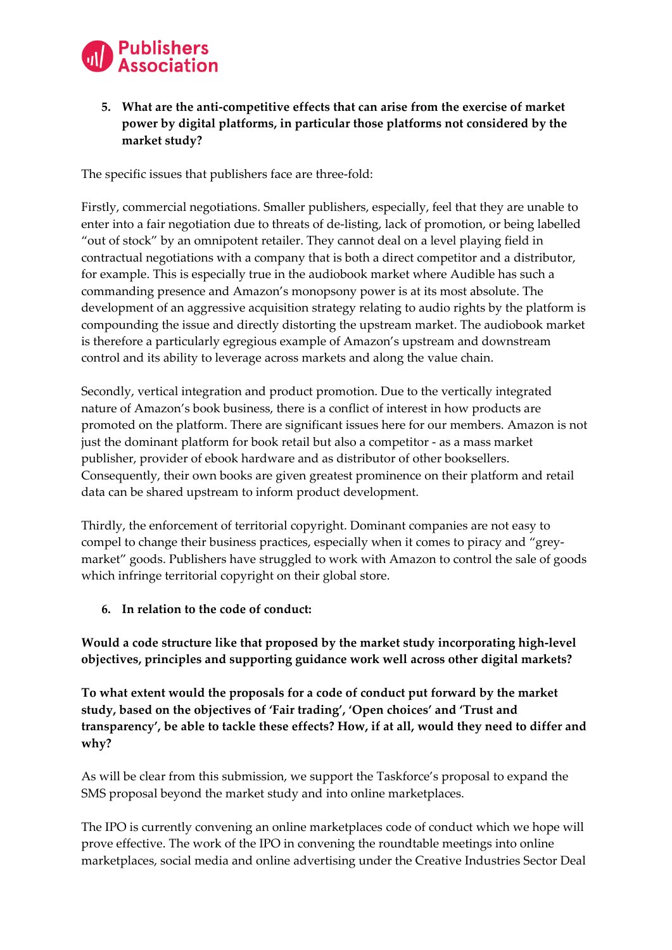

# **5. What are the anti-competitive effects that can arise from the exercise of market power by digital platforms, in particular those platforms not considered by the market study?**

The specific issues that publishers face are three-fold:

Firstly, commercial negotiations. Smaller publishers, especially, feel that they are unable to enter into a fair negotiation due to threats of de-listing, lack of promotion, or being labelled "out of stock" by an omnipotent retailer. They cannot deal on a level playing field in contractual negotiations with a company that is both a direct competitor and a distributor, for example. This is especially true in the audiobook market where Audible has such a commanding presence and Amazon's monopsony power is at its most absolute. The development of an aggressive acquisition strategy relating to audio rights by the platform is compounding the issue and directly distorting the upstream market. The audiobook market is therefore a particularly egregious example of Amazon's upstream and downstream control and its ability to leverage across markets and along the value chain.

Secondly, vertical integration and product promotion. Due to the vertically integrated nature of Amazon's book business, there is a conflict of interest in how products are promoted on the platform. There are significant issues here for our members. Amazon is not just the dominant platform for book retail but also a competitor - as a mass market publisher, provider of ebook hardware and as distributor of other booksellers. Consequently, their own books are given greatest prominence on their platform and retail data can be shared upstream to inform product development.

Thirdly, the enforcement of territorial copyright. Dominant companies are not easy to compel to change their business practices, especially when it comes to piracy and "greymarket" goods. Publishers have struggled to work with Amazon to control the sale of goods which infringe territorial copyright on their global store.

**6. In relation to the code of conduct:**

**Would a code structure like that proposed by the market study incorporating high-level objectives, principles and supporting guidance work well across other digital markets?**

**To what extent would the proposals for a code of conduct put forward by the market study, based on the objectives of 'Fair trading', 'Open choices' and 'Trust and transparency', be able to tackle these effects? How, if at all, would they need to differ and why?**

As will be clear from this submission, we support the Taskforce's proposal to expand the SMS proposal beyond the market study and into online marketplaces.

The IPO is currently convening an online marketplaces code of conduct which we hope will prove effective. The work of the IPO in convening the roundtable meetings into online marketplaces, social media and online advertising under the Creative Industries Sector Deal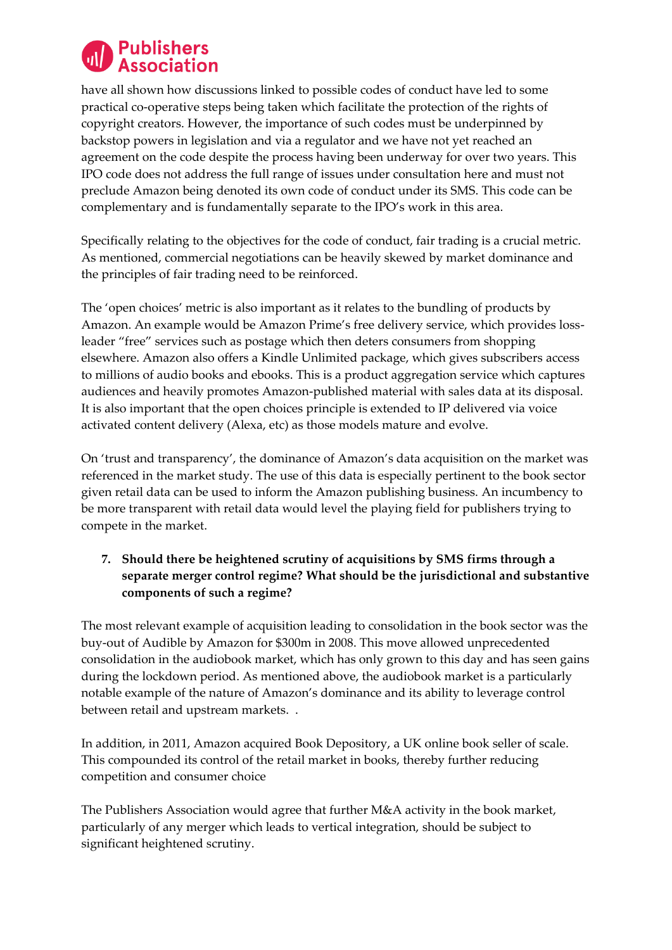

have all shown how discussions linked to possible codes of conduct have led to some practical co-operative steps being taken which facilitate the protection of the rights of copyright creators. However, the importance of such codes must be underpinned by backstop powers in legislation and via a regulator and we have not yet reached an agreement on the code despite the process having been underway for over two years. This IPO code does not address the full range of issues under consultation here and must not preclude Amazon being denoted its own code of conduct under its SMS. This code can be complementary and is fundamentally separate to the IPO's work in this area.

Specifically relating to the objectives for the code of conduct, fair trading is a crucial metric. As mentioned, commercial negotiations can be heavily skewed by market dominance and the principles of fair trading need to be reinforced.

The 'open choices' metric is also important as it relates to the bundling of products by Amazon. An example would be Amazon Prime's free delivery service, which provides lossleader "free" services such as postage which then deters consumers from shopping elsewhere. Amazon also offers a Kindle Unlimited package, which gives subscribers access to millions of audio books and ebooks. This is a product aggregation service which captures audiences and heavily promotes Amazon-published material with sales data at its disposal. It is also important that the open choices principle is extended to IP delivered via voice activated content delivery (Alexa, etc) as those models mature and evolve.

On 'trust and transparency', the dominance of Amazon's data acquisition on the market was referenced in the market study. The use of this data is especially pertinent to the book sector given retail data can be used to inform the Amazon publishing business. An incumbency to be more transparent with retail data would level the playing field for publishers trying to compete in the market.

# **7. Should there be heightened scrutiny of acquisitions by SMS firms through a separate merger control regime? What should be the jurisdictional and substantive components of such a regime?**

The most relevant example of acquisition leading to consolidation in the book sector was the buy-out of Audible by Amazon for \$300m in 2008. This move allowed unprecedented consolidation in the audiobook market, which has only grown to this day and has seen gains during the lockdown period. As mentioned above, the audiobook market is a particularly notable example of the nature of Amazon's dominance and its ability to leverage control between retail and upstream markets. .

In addition, in 2011, Amazon acquired Book Depository, a UK online book seller of scale. This compounded its control of the retail market in books, thereby further reducing competition and consumer choice

The Publishers Association would agree that further M&A activity in the book market, particularly of any merger which leads to vertical integration, should be subject to significant heightened scrutiny.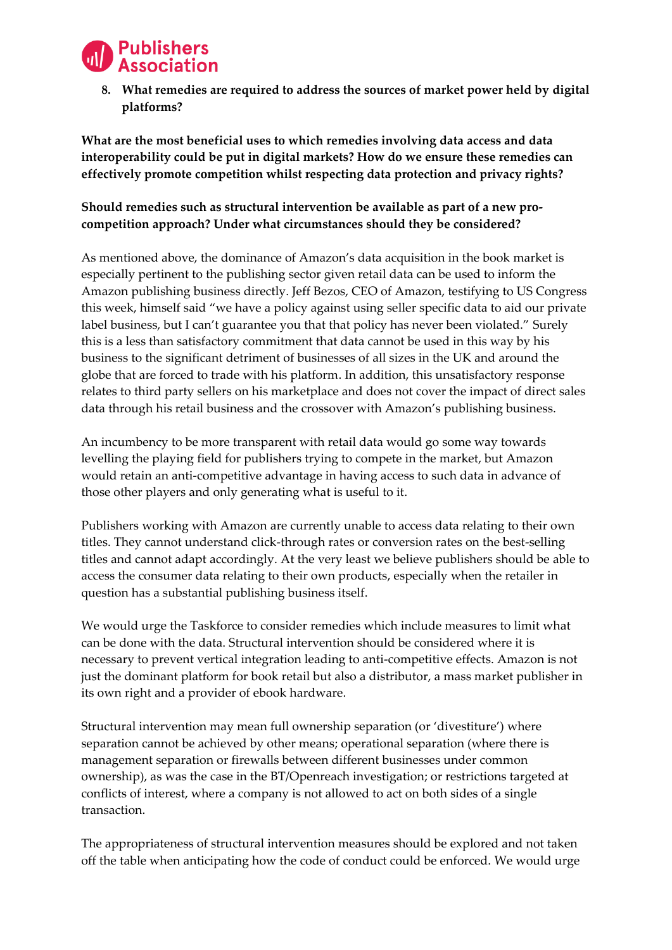

**8. What remedies are required to address the sources of market power held by digital platforms?**

**What are the most beneficial uses to which remedies involving data access and data interoperability could be put in digital markets? How do we ensure these remedies can effectively promote competition whilst respecting data protection and privacy rights?**

# **Should remedies such as structural intervention be available as part of a new procompetition approach? Under what circumstances should they be considered?**

As mentioned above, the dominance of Amazon's data acquisition in the book market is especially pertinent to the publishing sector given retail data can be used to inform the Amazon publishing business directly. Jeff Bezos, CEO of Amazon, testifying to US Congress this week, himself said "we have a policy against using seller specific data to aid our private label business, but I can't guarantee you that that policy has never been violated." Surely this is a less than satisfactory commitment that data cannot be used in this way by his business to the significant detriment of businesses of all sizes in the UK and around the globe that are forced to trade with his platform. In addition, this unsatisfactory response relates to third party sellers on his marketplace and does not cover the impact of direct sales data through his retail business and the crossover with Amazon's publishing business.

An incumbency to be more transparent with retail data would go some way towards levelling the playing field for publishers trying to compete in the market, but Amazon would retain an anti-competitive advantage in having access to such data in advance of those other players and only generating what is useful to it.

Publishers working with Amazon are currently unable to access data relating to their own titles. They cannot understand click-through rates or conversion rates on the best-selling titles and cannot adapt accordingly. At the very least we believe publishers should be able to access the consumer data relating to their own products, especially when the retailer in question has a substantial publishing business itself.

We would urge the Taskforce to consider remedies which include measures to limit what can be done with the data. Structural intervention should be considered where it is necessary to prevent vertical integration leading to anti-competitive effects. Amazon is not just the dominant platform for book retail but also a distributor, a mass market publisher in its own right and a provider of ebook hardware.

Structural intervention may mean full ownership separation (or 'divestiture') where separation cannot be achieved by other means; operational separation (where there is management separation or firewalls between different businesses under common ownership), as was the case in the BT/Openreach investigation; or restrictions targeted at conflicts of interest, where a company is not allowed to act on both sides of a single transaction.

The appropriateness of structural intervention measures should be explored and not taken off the table when anticipating how the code of conduct could be enforced. We would urge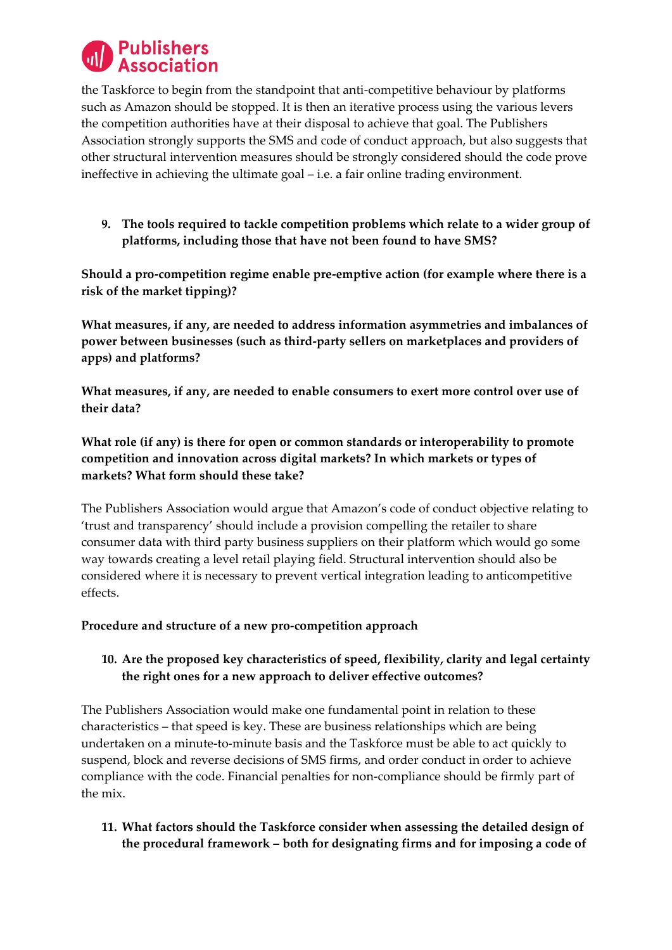

the Taskforce to begin from the standpoint that anti-competitive behaviour by platforms such as Amazon should be stopped. It is then an iterative process using the various levers the competition authorities have at their disposal to achieve that goal. The Publishers Association strongly supports the SMS and code of conduct approach, but also suggests that other structural intervention measures should be strongly considered should the code prove ineffective in achieving the ultimate goal – i.e. a fair online trading environment.

**9. The tools required to tackle competition problems which relate to a wider group of platforms, including those that have not been found to have SMS?**

**Should a pro-competition regime enable pre-emptive action (for example where there is a risk of the market tipping)?**

**What measures, if any, are needed to address information asymmetries and imbalances of power between businesses (such as third-party sellers on marketplaces and providers of apps) and platforms?**

**What measures, if any, are needed to enable consumers to exert more control over use of their data?**

**What role (if any) is there for open or common standards or interoperability to promote competition and innovation across digital markets? In which markets or types of markets? What form should these take?**

The Publishers Association would argue that Amazon's code of conduct objective relating to 'trust and transparency' should include a provision compelling the retailer to share consumer data with third party business suppliers on their platform which would go some way towards creating a level retail playing field. Structural intervention should also be considered where it is necessary to prevent vertical integration leading to anticompetitive effects.

## **Procedure and structure of a new pro-competition approach**

## **10. Are the proposed key characteristics of speed, flexibility, clarity and legal certainty the right ones for a new approach to deliver effective outcomes?**

The Publishers Association would make one fundamental point in relation to these characteristics – that speed is key. These are business relationships which are being undertaken on a minute-to-minute basis and the Taskforce must be able to act quickly to suspend, block and reverse decisions of SMS firms, and order conduct in order to achieve compliance with the code. Financial penalties for non-compliance should be firmly part of the mix.

**11. What factors should the Taskforce consider when assessing the detailed design of the procedural framework – both for designating firms and for imposing a code of**